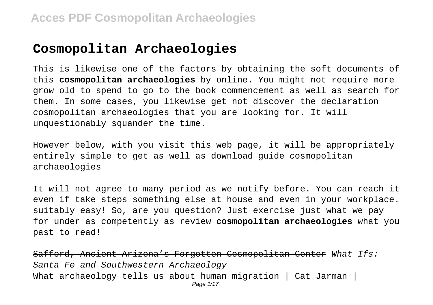# **Cosmopolitan Archaeologies**

This is likewise one of the factors by obtaining the soft documents of this **cosmopolitan archaeologies** by online. You might not require more grow old to spend to go to the book commencement as well as search for them. In some cases, you likewise get not discover the declaration cosmopolitan archaeologies that you are looking for. It will unquestionably squander the time.

However below, with you visit this web page, it will be appropriately entirely simple to get as well as download guide cosmopolitan archaeologies

It will not agree to many period as we notify before. You can reach it even if take steps something else at house and even in your workplace. suitably easy! So, are you question? Just exercise just what we pay for under as competently as review **cosmopolitan archaeologies** what you past to read!

Safford, Ancient Arizona's Forgotten Cosmopolitan Center What Ifs: Santa Fe and Southwestern Archaeology What archaeology tells us about human migration | Cat Jarman | Page 1/17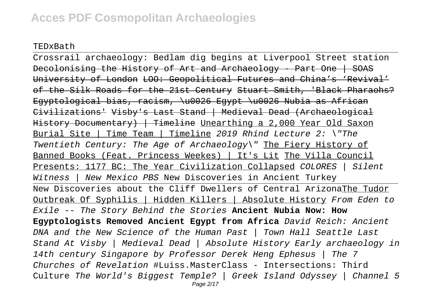TEDxBath

Crossrail archaeology: Bedlam dig begins at Liverpool Street station Decolonising the History of Art and Archaeology - Part One | SOAS University of London LOO: Geopolitical Futures and China's 'Revival' of the Silk Roads for the 21st Century Stuart Smith, 'Black Pharaohs? Egyptological bias, racism, \u0026 Egypt \u0026 Nubia as African Civilizations' Visby's Last Stand | Medieval Dead (Archaeological History Documentary) | Timeline Unearthing a 2,000 Year Old Saxon Burial Site | Time Team | Timeline 2019 Rhind Lecture 2: \"The Twentieth Century: The Age of Archaeology\" The Fiery History of Banned Books (Feat. Princess Weekes) | It's Lit The Villa Council Presents: 1177 BC: The Year Civilization Collapsed COLORES | Silent Witness | New Mexico PBS New Discoveries in Ancient Turkey New Discoveries about the Cliff Dwellers of Central ArizonaThe Tudor Outbreak Of Syphilis | Hidden Killers | Absolute History From Eden to Exile -- The Story Behind the Stories **Ancient Nubia Now: How Egyptologists Removed Ancient Egypt from Africa** David Reich: Ancient DNA and the New Science of the Human Past | Town Hall Seattle Last Stand At Visby | Medieval Dead | Absolute History Early archaeology in 14th century Singapore by Professor Derek Heng Ephesus | The 7 Churches of Revelation #Luiss.MasterClass - Intersections: Third Culture The World's Biggest Temple? | Greek Island Odyssey | Channel 5 Page 2/17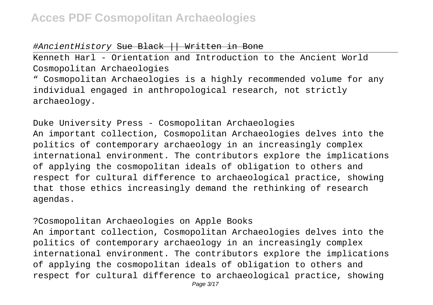#### #AncientHistory Sue Black || Written in Bone

Kenneth Harl - Orientation and Introduction to the Ancient World Cosmopolitan Archaeologies

" Cosmopolitan Archaeologies is a highly recommended volume for any individual engaged in anthropological research, not strictly archaeology.

Duke University Press - Cosmopolitan Archaeologies An important collection, Cosmopolitan Archaeologies delves into the politics of contemporary archaeology in an increasingly complex international environment. The contributors explore the implications of applying the cosmopolitan ideals of obligation to others and respect for cultural difference to archaeological practice, showing that those ethics increasingly demand the rethinking of research agendas.

?Cosmopolitan Archaeologies on Apple Books

An important collection, Cosmopolitan Archaeologies delves into the politics of contemporary archaeology in an increasingly complex international environment. The contributors explore the implications of applying the cosmopolitan ideals of obligation to others and respect for cultural difference to archaeological practice, showing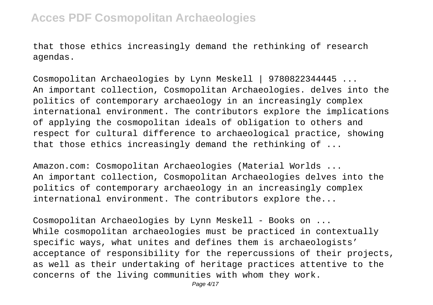that those ethics increasingly demand the rethinking of research agendas.

Cosmopolitan Archaeologies by Lynn Meskell | 9780822344445 ... An important collection, Cosmopolitan Archaeologies. delves into the politics of contemporary archaeology in an increasingly complex international environment. The contributors explore the implications of applying the cosmopolitan ideals of obligation to others and respect for cultural difference to archaeological practice, showing that those ethics increasingly demand the rethinking of ...

Amazon.com: Cosmopolitan Archaeologies (Material Worlds ... An important collection, Cosmopolitan Archaeologies delves into the politics of contemporary archaeology in an increasingly complex international environment. The contributors explore the...

Cosmopolitan Archaeologies by Lynn Meskell - Books on ... While cosmopolitan archaeologies must be practiced in contextually specific ways, what unites and defines them is archaeologists' acceptance of responsibility for the repercussions of their projects, as well as their undertaking of heritage practices attentive to the concerns of the living communities with whom they work.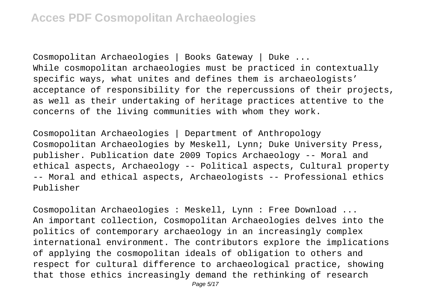Cosmopolitan Archaeologies | Books Gateway | Duke ... While cosmopolitan archaeologies must be practiced in contextually specific ways, what unites and defines them is archaeologists' acceptance of responsibility for the repercussions of their projects, as well as their undertaking of heritage practices attentive to the concerns of the living communities with whom they work.

Cosmopolitan Archaeologies | Department of Anthropology Cosmopolitan Archaeologies by Meskell, Lynn; Duke University Press, publisher. Publication date 2009 Topics Archaeology -- Moral and ethical aspects, Archaeology -- Political aspects, Cultural property -- Moral and ethical aspects, Archaeologists -- Professional ethics Publisher

Cosmopolitan Archaeologies : Meskell, Lynn : Free Download ... An important collection, Cosmopolitan Archaeologies delves into the politics of contemporary archaeology in an increasingly complex international environment. The contributors explore the implications of applying the cosmopolitan ideals of obligation to others and respect for cultural difference to archaeological practice, showing that those ethics increasingly demand the rethinking of research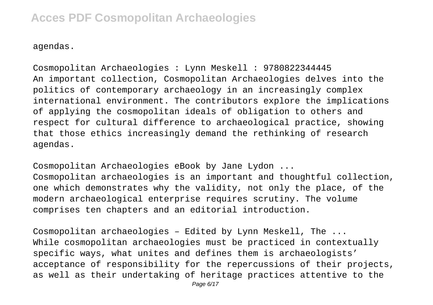agendas.

Cosmopolitan Archaeologies : Lynn Meskell : 9780822344445 An important collection, Cosmopolitan Archaeologies delves into the politics of contemporary archaeology in an increasingly complex international environment. The contributors explore the implications of applying the cosmopolitan ideals of obligation to others and respect for cultural difference to archaeological practice, showing that those ethics increasingly demand the rethinking of research agendas.

Cosmopolitan Archaeologies eBook by Jane Lydon ... Cosmopolitan archaeologies is an important and thoughtful collection, one which demonstrates why the validity, not only the place, of the modern archaeological enterprise requires scrutiny. The volume comprises ten chapters and an editorial introduction.

Cosmopolitan archaeologies – Edited by Lynn Meskell, The ... While cosmopolitan archaeologies must be practiced in contextually specific ways, what unites and defines them is archaeologists' acceptance of responsibility for the repercussions of their projects, as well as their undertaking of heritage practices attentive to the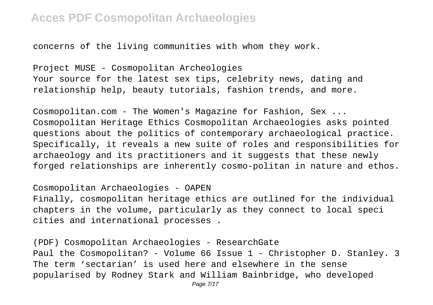concerns of the living communities with whom they work.

Project MUSE - Cosmopolitan Archeologies Your source for the latest sex tips, celebrity news, dating and relationship help, beauty tutorials, fashion trends, and more.

Cosmopolitan.com - The Women's Magazine for Fashion, Sex ... Cosmopolitan Heritage Ethics Cosmopolitan Archaeologies asks pointed questions about the politics of contemporary archaeological practice. Specifically, it reveals a new suite of roles and responsibilities for archaeology and its practitioners and it suggests that these newly forged relationships are inherently cosmo-politan in nature and ethos.

#### Cosmopolitan Archaeologies - OAPEN

Finally, cosmopolitan heritage ethics are outlined for the individual chapters in the volume, particularly as they connect to local speci cities and international processes .

(PDF) Cosmopolitan Archaeologies - ResearchGate Paul the Cosmopolitan? - Volume 66 Issue 1 - Christopher D. Stanley. 3 The term 'sectarian' is used here and elsewhere in the sense popularised by Rodney Stark and William Bainbridge, who developed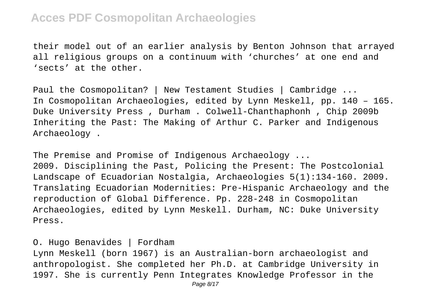their model out of an earlier analysis by Benton Johnson that arrayed all religious groups on a continuum with 'churches' at one end and 'sects' at the other.

Paul the Cosmopolitan? | New Testament Studies | Cambridge ... In Cosmopolitan Archaeologies, edited by Lynn Meskell, pp. 140 – 165. Duke University Press , Durham . Colwell-Chanthaphonh , Chip 2009b Inheriting the Past: The Making of Arthur C. Parker and Indigenous Archaeology .

The Premise and Promise of Indigenous Archaeology ... 2009. Disciplining the Past, Policing the Present: The Postcolonial Landscape of Ecuadorian Nostalgia, Archaeologies 5(1):134-160. 2009. Translating Ecuadorian Modernities: Pre-Hispanic Archaeology and the reproduction of Global Difference. Pp. 228-248 in Cosmopolitan Archaeologies, edited by Lynn Meskell. Durham, NC: Duke University Press.

O. Hugo Benavides | Fordham

Lynn Meskell (born 1967) is an Australian-born archaeologist and anthropologist. She completed her Ph.D. at Cambridge University in 1997. She is currently Penn Integrates Knowledge Professor in the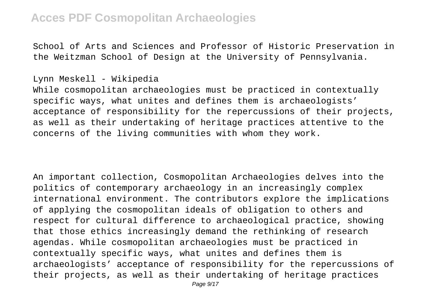School of Arts and Sciences and Professor of Historic Preservation in the Weitzman School of Design at the University of Pennsylvania.

#### Lynn Meskell - Wikipedia

While cosmopolitan archaeologies must be practiced in contextually specific ways, what unites and defines them is archaeologists' acceptance of responsibility for the repercussions of their projects, as well as their undertaking of heritage practices attentive to the concerns of the living communities with whom they work.

An important collection, Cosmopolitan Archaeologies delves into the politics of contemporary archaeology in an increasingly complex international environment. The contributors explore the implications of applying the cosmopolitan ideals of obligation to others and respect for cultural difference to archaeological practice, showing that those ethics increasingly demand the rethinking of research agendas. While cosmopolitan archaeologies must be practiced in contextually specific ways, what unites and defines them is archaeologists' acceptance of responsibility for the repercussions of their projects, as well as their undertaking of heritage practices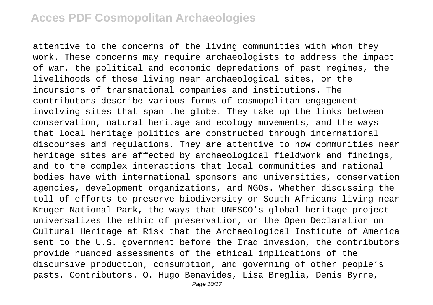attentive to the concerns of the living communities with whom they work. These concerns may require archaeologists to address the impact of war, the political and economic depredations of past regimes, the livelihoods of those living near archaeological sites, or the incursions of transnational companies and institutions. The contributors describe various forms of cosmopolitan engagement involving sites that span the globe. They take up the links between conservation, natural heritage and ecology movements, and the ways that local heritage politics are constructed through international discourses and regulations. They are attentive to how communities near heritage sites are affected by archaeological fieldwork and findings, and to the complex interactions that local communities and national bodies have with international sponsors and universities, conservation agencies, development organizations, and NGOs. Whether discussing the toll of efforts to preserve biodiversity on South Africans living near Kruger National Park, the ways that UNESCO's global heritage project universalizes the ethic of preservation, or the Open Declaration on Cultural Heritage at Risk that the Archaeological Institute of America sent to the U.S. government before the Iraq invasion, the contributors provide nuanced assessments of the ethical implications of the discursive production, consumption, and governing of other people's pasts. Contributors. O. Hugo Benavides, Lisa Breglia, Denis Byrne,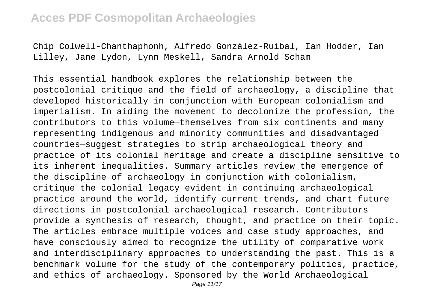Chip Colwell-Chanthaphonh, Alfredo González-Ruibal, Ian Hodder, Ian Lilley, Jane Lydon, Lynn Meskell, Sandra Arnold Scham

This essential handbook explores the relationship between the postcolonial critique and the field of archaeology, a discipline that developed historically in conjunction with European colonialism and imperialism. In aiding the movement to decolonize the profession, the contributors to this volume—themselves from six continents and many representing indigenous and minority communities and disadvantaged countries—suggest strategies to strip archaeological theory and practice of its colonial heritage and create a discipline sensitive to its inherent inequalities. Summary articles review the emergence of the discipline of archaeology in conjunction with colonialism, critique the colonial legacy evident in continuing archaeological practice around the world, identify current trends, and chart future directions in postcolonial archaeological research. Contributors provide a synthesis of research, thought, and practice on their topic. The articles embrace multiple voices and case study approaches, and have consciously aimed to recognize the utility of comparative work and interdisciplinary approaches to understanding the past. This is a benchmark volume for the study of the contemporary politics, practice, and ethics of archaeology. Sponsored by the World Archaeological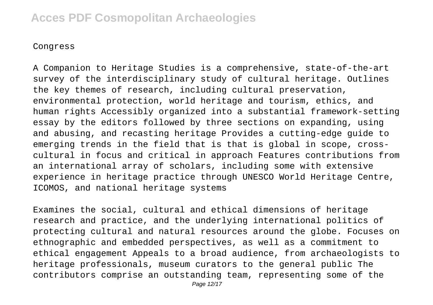#### Congress

A Companion to Heritage Studies is a comprehensive, state-of-the-art survey of the interdisciplinary study of cultural heritage. Outlines the key themes of research, including cultural preservation, environmental protection, world heritage and tourism, ethics, and human rights Accessibly organized into a substantial framework-setting essay by the editors followed by three sections on expanding, using and abusing, and recasting heritage Provides a cutting-edge guide to emerging trends in the field that is that is global in scope, crosscultural in focus and critical in approach Features contributions from an international array of scholars, including some with extensive experience in heritage practice through UNESCO World Heritage Centre, ICOMOS, and national heritage systems

Examines the social, cultural and ethical dimensions of heritage research and practice, and the underlying international politics of protecting cultural and natural resources around the globe. Focuses on ethnographic and embedded perspectives, as well as a commitment to ethical engagement Appeals to a broad audience, from archaeologists to heritage professionals, museum curators to the general public The contributors comprise an outstanding team, representing some of the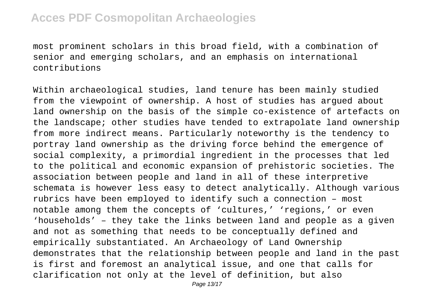most prominent scholars in this broad field, with a combination of senior and emerging scholars, and an emphasis on international contributions

Within archaeological studies, land tenure has been mainly studied from the viewpoint of ownership. A host of studies has argued about land ownership on the basis of the simple co-existence of artefacts on the landscape; other studies have tended to extrapolate land ownership from more indirect means. Particularly noteworthy is the tendency to portray land ownership as the driving force behind the emergence of social complexity, a primordial ingredient in the processes that led to the political and economic expansion of prehistoric societies. The association between people and land in all of these interpretive schemata is however less easy to detect analytically. Although various rubrics have been employed to identify such a connection – most notable among them the concepts of 'cultures,' 'regions,' or even 'households' – they take the links between land and people as a given and not as something that needs to be conceptually defined and empirically substantiated. An Archaeology of Land Ownership demonstrates that the relationship between people and land in the past is first and foremost an analytical issue, and one that calls for clarification not only at the level of definition, but also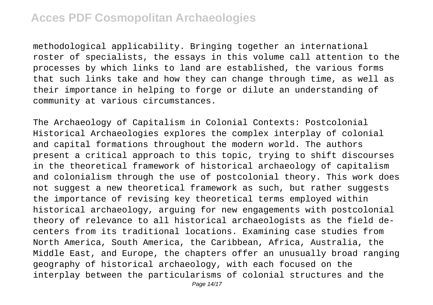methodological applicability. Bringing together an international roster of specialists, the essays in this volume call attention to the processes by which links to land are established, the various forms that such links take and how they can change through time, as well as their importance in helping to forge or dilute an understanding of community at various circumstances.

The Archaeology of Capitalism in Colonial Contexts: Postcolonial Historical Archaeologies explores the complex interplay of colonial and capital formations throughout the modern world. The authors present a critical approach to this topic, trying to shift discourses in the theoretical framework of historical archaeology of capitalism and colonialism through the use of postcolonial theory. This work does not suggest a new theoretical framework as such, but rather suggests the importance of revising key theoretical terms employed within historical archaeology, arguing for new engagements with postcolonial theory of relevance to all historical archaeologists as the field decenters from its traditional locations. Examining case studies from North America, South America, the Caribbean, Africa, Australia, the Middle East, and Europe, the chapters offer an unusually broad ranging geography of historical archaeology, with each focused on the interplay between the particularisms of colonial structures and the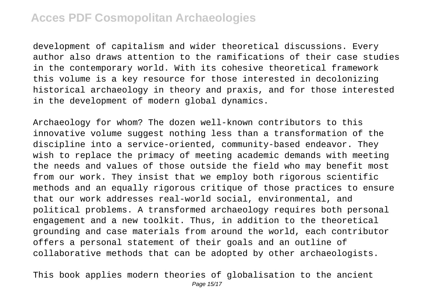development of capitalism and wider theoretical discussions. Every author also draws attention to the ramifications of their case studies in the contemporary world. With its cohesive theoretical framework this volume is a key resource for those interested in decolonizing historical archaeology in theory and praxis, and for those interested in the development of modern global dynamics.

Archaeology for whom? The dozen well-known contributors to this innovative volume suggest nothing less than a transformation of the discipline into a service-oriented, community-based endeavor. They wish to replace the primacy of meeting academic demands with meeting the needs and values of those outside the field who may benefit most from our work. They insist that we employ both rigorous scientific methods and an equally rigorous critique of those practices to ensure that our work addresses real-world social, environmental, and political problems. A transformed archaeology requires both personal engagement and a new toolkit. Thus, in addition to the theoretical grounding and case materials from around the world, each contributor offers a personal statement of their goals and an outline of collaborative methods that can be adopted by other archaeologists.

This book applies modern theories of globalisation to the ancient Page 15/17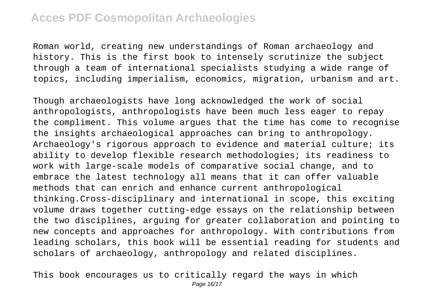Roman world, creating new understandings of Roman archaeology and history. This is the first book to intensely scrutinize the subject through a team of international specialists studying a wide range of topics, including imperialism, economics, migration, urbanism and art.

Though archaeologists have long acknowledged the work of social anthropologists, anthropologists have been much less eager to repay the compliment. This volume argues that the time has come to recognise the insights archaeological approaches can bring to anthropology. Archaeology's rigorous approach to evidence and material culture; its ability to develop flexible research methodologies; its readiness to work with large-scale models of comparative social change, and to embrace the latest technology all means that it can offer valuable methods that can enrich and enhance current anthropological thinking.Cross-disciplinary and international in scope, this exciting volume draws together cutting-edge essays on the relationship between the two disciplines, arguing for greater collaboration and pointing to new concepts and approaches for anthropology. With contributions from leading scholars, this book will be essential reading for students and scholars of archaeology, anthropology and related disciplines.

This book encourages us to critically regard the ways in which Page 16/17